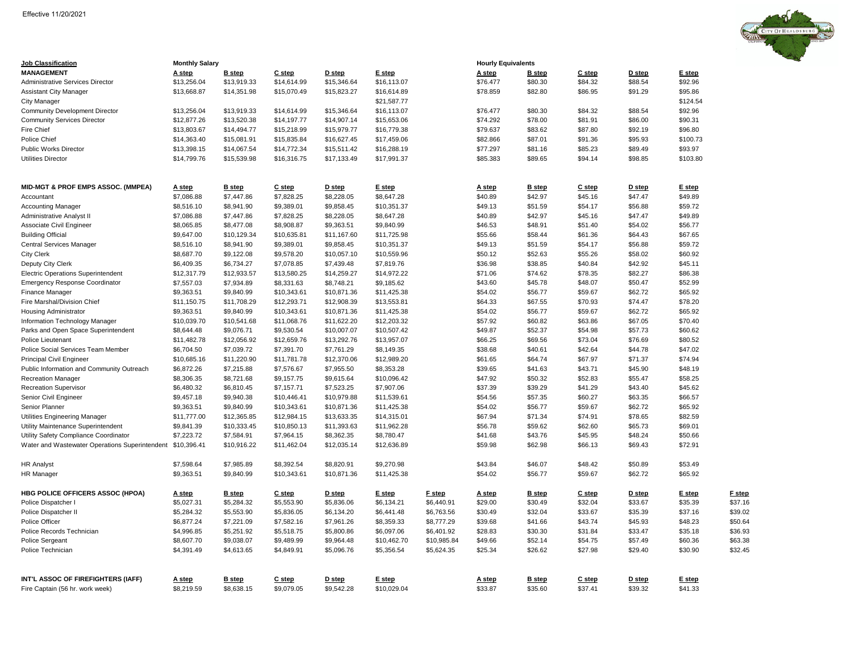

| <b>Job Classification</b>                      | <b>Monthly Salary</b> |               |             |             |             |             | <b>Hourly Equivalents</b> |               |         |                   |          |               |  |  |  |  |
|------------------------------------------------|-----------------------|---------------|-------------|-------------|-------------|-------------|---------------------------|---------------|---------|-------------------|----------|---------------|--|--|--|--|
| <b>MANAGEMENT</b>                              | A step                | <b>B</b> step | C step      | D step      | E step      |             | A step                    | <b>B</b> step | C step  | D step            | E step   |               |  |  |  |  |
| Administrative Services Director               | \$13,256.04           | \$13,919.33   | \$14,614.99 | \$15,346.64 | \$16,113.07 |             | \$76.477                  | \$80.30       | \$84.32 | \$88.54           | \$92.96  |               |  |  |  |  |
| Assistant City Manager                         | \$13,668.87           | \$14,351.98   | \$15,070.49 | \$15,823.27 | \$16,614.89 |             | \$78.859                  | \$82.80       | \$86.95 | \$91.29           | \$95.86  |               |  |  |  |  |
| City Manager                                   |                       |               |             |             | \$21,587.77 |             |                           |               |         |                   | \$124.54 |               |  |  |  |  |
| <b>Community Development Director</b>          | \$13,256.04           | \$13,919.33   | \$14,614.99 | \$15,346.64 | \$16,113.07 |             | \$76.477                  | \$80.30       | \$84.32 | \$88.54           | \$92.96  |               |  |  |  |  |
| <b>Community Services Director</b>             | \$12,877.26           | \$13,520.38   | \$14,197.77 | \$14,907.14 | \$15,653.06 |             | \$74.292                  | \$78.00       | \$81.91 | \$86.00           | \$90.31  |               |  |  |  |  |
| <b>Fire Chief</b>                              | \$13,803.67           | \$14,494.77   | \$15,218.99 | \$15,979.77 | \$16,779.38 |             | \$79.637                  | \$83.62       | \$87.80 | \$92.19           | \$96.80  |               |  |  |  |  |
| Police Chief                                   | \$14,363.40           | \$15,081.91   | \$15,835.84 | \$16,627.45 | \$17,459.06 |             | \$82.866                  | \$87.01       | \$91.36 | \$95.93           | \$100.73 |               |  |  |  |  |
| Public Works Director                          | \$13,398.15           | \$14,067.54   | \$14,772.34 | \$15,511.42 | \$16,288.19 |             | \$77.297                  | \$81.16       | \$85.23 | \$89.49           | \$93.97  |               |  |  |  |  |
| <b>Utilities Director</b>                      | \$14,799.76           | \$15,539.98   | \$16,316.75 | \$17,133.49 | \$17,991.37 |             | \$85.383                  | \$89.65       | \$94.14 | \$98.85           | \$103.80 |               |  |  |  |  |
| <b>MID-MGT &amp; PROF EMPS ASSOC. (MMPEA)</b>  | A step                | <b>B</b> step | C step      | D step      | E step      |             | A step                    | <b>B</b> step | C step  | D step            | E step   |               |  |  |  |  |
| Accountant                                     | \$7,086.88            | \$7,447.86    | \$7,828.25  | \$8,228.05  | \$8,647.28  |             | \$40.89                   | \$42.97       | \$45.16 | \$47.47           | \$49.89  |               |  |  |  |  |
| <b>Accounting Manager</b>                      | \$8,516.10            | \$8,941.90    | \$9,389.01  | \$9,858.45  | \$10,351.37 |             | \$49.13                   | \$51.59       | \$54.17 | \$56.88           | \$59.72  |               |  |  |  |  |
| Administrative Analyst II                      | \$7,086.88            | \$7,447.86    | \$7,828.25  | \$8,228.05  | \$8,647.28  |             | \$40.89                   | \$42.97       | \$45.16 | \$47.47           | \$49.89  |               |  |  |  |  |
| Associate Civil Engineer                       | \$8,065.85            | \$8,477.08    | \$8,908.87  | \$9,363.51  | \$9,840.99  |             | \$46.53                   | \$48.91       | \$51.40 | \$54.02           | \$56.77  |               |  |  |  |  |
| <b>Building Official</b>                       | \$9,647.00            | \$10,129.34   | \$10,635.81 | \$11,167.60 | \$11,725.98 |             | \$55.66                   | \$58.44       | \$61.36 | \$64.43           | \$67.65  |               |  |  |  |  |
| Central Services Manager                       | \$8,516.10            | \$8,941.90    | \$9,389.01  | \$9,858.45  | \$10,351.37 |             | \$49.13                   | \$51.59       | \$54.17 | \$56.88           | \$59.72  |               |  |  |  |  |
| <b>City Clerk</b>                              | \$8,687.70            | \$9,122.08    | \$9,578.20  | \$10,057.10 | \$10,559.96 |             | \$50.12                   | \$52.63       | \$55.26 | \$58.02           | \$60.92  |               |  |  |  |  |
| Deputy City Clerk                              | \$6,409.35            | \$6,734.27    | \$7,078.85  | \$7,439.48  | \$7,819.76  |             | \$36.98                   | \$38.85       | \$40.84 | \$42.92           | \$45.11  |               |  |  |  |  |
| <b>Electric Operations Superintendent</b>      | \$12,317.79           | \$12,933.57   | \$13,580.25 | \$14,259.27 | \$14,972.22 |             | \$71.06                   | \$74.62       | \$78.35 | \$82.27           | \$86.38  |               |  |  |  |  |
| <b>Emergency Response Coordinator</b>          | \$7,557.03            | \$7,934.89    | \$8,331.63  | \$8,748.21  | \$9,185.62  |             | \$43.60                   | \$45.78       | \$48.07 | \$50.47           | \$52.99  |               |  |  |  |  |
| Finance Manager                                | \$9,363.51            | \$9,840.99    | \$10,343.61 | \$10,871.36 | \$11,425.38 |             | \$54.02                   | \$56.77       | \$59.67 | \$62.72           | \$65.92  |               |  |  |  |  |
| Fire Marshal/Division Chief                    | \$11,150.75           | \$11,708.29   | \$12,293.71 | \$12,908.39 | \$13,553.81 |             | \$64.33                   | \$67.55       | \$70.93 | \$74.47           | \$78.20  |               |  |  |  |  |
| Housing Administrator                          | \$9,363.51            | \$9,840.99    | \$10,343.61 | \$10,871.36 | \$11,425.38 |             | \$54.02                   | \$56.77       | \$59.67 | \$62.72           | \$65.92  |               |  |  |  |  |
| Information Technology Manager                 | \$10,039.70           | \$10,541.68   | \$11,068.76 | \$11,622.20 | \$12,203.32 |             | \$57.92                   | \$60.82       | \$63.86 | \$67.05           | \$70.40  |               |  |  |  |  |
| Parks and Open Space Superintendent            | \$8,644.48            | \$9,076.71    | \$9,530.54  | \$10,007.07 | \$10,507.42 |             | \$49.87                   | \$52.37       | \$54.98 | \$57.73           | \$60.62  |               |  |  |  |  |
| Police Lieutenant                              | \$11,482.78           | \$12,056.92   | \$12,659.76 | \$13,292.76 | \$13,957.07 |             | \$66.25                   | \$69.56       | \$73.04 | \$76.69           | \$80.52  |               |  |  |  |  |
| Police Social Services Team Member             | \$6,704.50            | \$7,039.72    | \$7,391.70  | \$7,761.29  | \$8,149.35  |             | \$38.68                   | \$40.61       | \$42.64 | \$44.78           | \$47.02  |               |  |  |  |  |
| Principal Civil Engineer                       | \$10,685.16           | \$11,220.90   | \$11,781.78 | \$12,370.06 | \$12,989.20 |             | \$61.65                   | \$64.74       | \$67.97 | \$71.37           | \$74.94  |               |  |  |  |  |
| Public Information and Community Outreach      | \$6,872.26            | \$7,215.88    | \$7,576.67  | \$7,955.50  | \$8,353.28  |             | \$39.65                   | \$41.63       | \$43.71 | \$45.90           | \$48.19  |               |  |  |  |  |
| <b>Recreation Manager</b>                      | \$8,306.35            | \$8,721.68    | \$9,157.75  | \$9,615.64  | \$10,096.42 |             | \$47.92                   | \$50.32       | \$52.83 | \$55.47           | \$58.25  |               |  |  |  |  |
| <b>Recreation Supervisor</b>                   | \$6,480.32            | \$6,810.45    | \$7,157.71  | \$7,523.25  | \$7,907.06  |             | \$37.39                   | \$39.29       | \$41.29 | \$43.40           | \$45.62  |               |  |  |  |  |
| Senior Civil Engineer                          | \$9,457.18            | \$9,940.38    | \$10,446.41 | \$10,979.88 | \$11,539.61 |             | \$54.56                   | \$57.35       | \$60.27 | \$63.35           | \$66.57  |               |  |  |  |  |
| Senior Planner                                 | \$9,363.51            | \$9,840.99    | \$10,343.61 | \$10,871.36 | \$11,425.38 |             | \$54.02                   | \$56.77       | \$59.67 | \$62.72           | \$65.92  |               |  |  |  |  |
| Utilities Engineering Manager                  | \$11,777.00           | \$12,365.85   | \$12,984.15 | \$13,633.35 | \$14,315.01 |             | \$67.94                   | \$71.34       | \$74.91 | \$78.65           | \$82.59  |               |  |  |  |  |
| Utility Maintenance Superintendent             | \$9,841.39            | \$10,333.45   | \$10,850.13 | \$11,393.63 | \$11,962.28 |             | \$56.78                   | \$59.62       | \$62.60 | \$65.73           | \$69.01  |               |  |  |  |  |
| Utility Safety Compliance Coordinator          | \$7,223.72            | \$7,584.91    | \$7,964.15  | \$8,362.35  | \$8,780.47  |             | \$41.68                   | \$43.76       | \$45.95 | \$48.24           | \$50.66  |               |  |  |  |  |
| Water and Wastewater Operations Superintendent | \$10,396.41           | \$10,916.22   | \$11,462.04 | \$12,035.14 | \$12,636.89 |             | \$59.98                   | \$62.98       | \$66.13 | \$69.43           | \$72.91  |               |  |  |  |  |
| <b>HR Analyst</b>                              | \$7,598.64            | \$7,985.89    | \$8,392.54  | \$8,820.91  | \$9,270.98  |             | \$43.84                   | \$46.07       | \$48.42 | \$50.89           | \$53.49  |               |  |  |  |  |
| <b>HR Manager</b>                              | \$9,363.51            | \$9,840.99    | \$10,343.61 | \$10,871.36 | \$11,425.38 |             | \$54.02                   | \$56.77       | \$59.67 | \$62.72           | \$65.92  |               |  |  |  |  |
| <b>HBG POLICE OFFICERS ASSOC (HPOA)</b>        | A step                | <b>B</b> step | C step      | D step      | E step      | F step      | A step                    | <b>B</b> step | C step  | D <sub>step</sub> | E step   | <b>F</b> step |  |  |  |  |
| Police Dispatcher I                            | \$5,027.31            | \$5,284.32    | \$5,553.90  | \$5,836.06  | \$6,134.21  | \$6,440.91  | \$29.00                   | \$30.49       | \$32.04 | \$33.67           | \$35.39  | \$37.16       |  |  |  |  |
| Police Dispatcher II                           | \$5,284.32            | \$5,553.90    | \$5,836.05  | \$6,134.20  | \$6,441.48  | \$6,763.56  | \$30.49                   | \$32.04       | \$33.67 | \$35.39           | \$37.16  | \$39.02       |  |  |  |  |
| Police Officer                                 | \$6,877.24            | \$7,221.09    | \$7,582.16  | \$7,961.26  | \$8,359.33  | \$8,777.29  | \$39.68                   | \$41.66       | \$43.74 | \$45.93           | \$48.23  | \$50.64       |  |  |  |  |
| Police Records Technician                      | \$4,996.85            | \$5,251.92    | \$5,518.75  | \$5,800.86  | \$6,097.06  | \$6,401.92  | \$28.83                   | \$30.30       | \$31.84 | \$33.47           | \$35.18  | \$36.93       |  |  |  |  |
| Police Sergeant                                | \$8,607.70            | \$9,038.07    | \$9,489.99  | \$9,964.48  | \$10,462.70 | \$10,985.84 | \$49.66                   | \$52.14       | \$54.75 | \$57.49           | \$60.36  | \$63.38       |  |  |  |  |
| Police Technician                              | \$4,391.49            | \$4,613.65    | \$4,849.91  | \$5,096.76  | \$5,356.54  | \$5,624.35  | \$25.34                   | \$26.62       | \$27.98 | \$29.40           | \$30.90  | \$32.45       |  |  |  |  |
| INT'L ASSOC OF FIREFIGHTERS (IAFF)             | A step                | <b>B</b> step | C step      | D step      | E step      |             | A step                    | <b>B</b> step | C step  | D step            | E step   |               |  |  |  |  |
| Fire Captain (56 hr. work week)                | \$8,219.59            | \$8,638.15    | \$9,079.05  | \$9,542.28  | \$10,029.04 |             | \$33.87                   | \$35.60       | \$37.41 | \$39.32           | \$41.33  |               |  |  |  |  |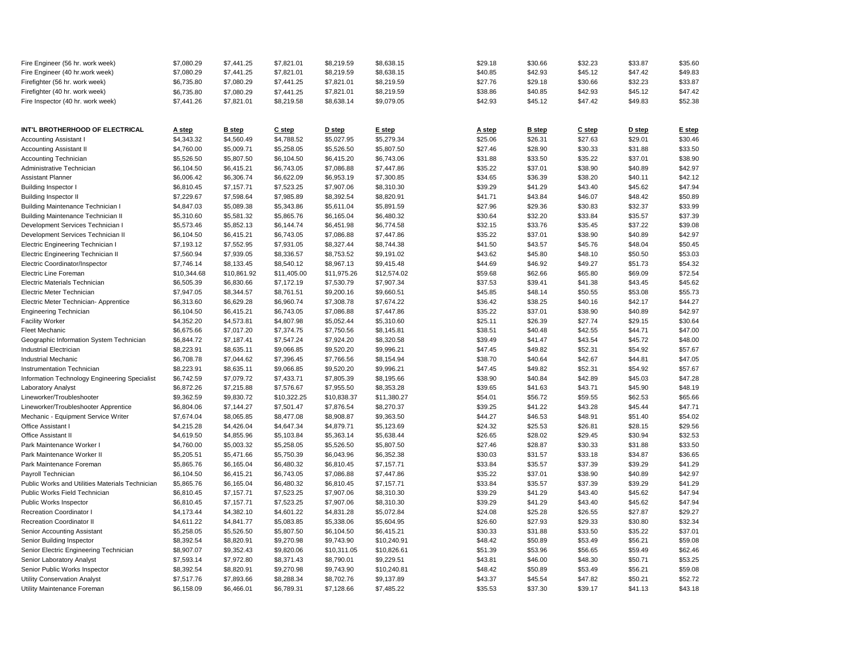| Fire Engineer (56 hr. work week)<br>Fire Engineer (40 hr.work week) | \$7,080.29<br>\$7,080.29 | \$7,441.25<br>\$7,441.25 | \$7,821.01<br>\$7,821.01 | \$8,219.59<br>\$8,219.59 | \$8,638.15<br>\$8,638.15 | \$29.18<br>\$40.85 | \$30.66<br>\$42.93 | \$32.23<br>\$45.12 | \$33.87<br>\$47.42 | \$35.60<br>\$49.83 |
|---------------------------------------------------------------------|--------------------------|--------------------------|--------------------------|--------------------------|--------------------------|--------------------|--------------------|--------------------|--------------------|--------------------|
| Firefighter (56 hr. work week)                                      | \$6,735.80               | \$7,080.29               | \$7,441.25               | \$7,821.01               | \$8,219.59               | \$27.76            | \$29.18            | \$30.66            | \$32.23            | \$33.87            |
| Firefighter (40 hr. work week)                                      | \$6,735.80               | \$7,080.29               | \$7,441.25               | \$7,821.01               | \$8,219.59               | \$38.86            | \$40.85            | \$42.93            | \$45.12            | \$47.42            |
| Fire Inspector (40 hr. work week)                                   | \$7,441.26               | \$7,821.01               | \$8,219.58               | \$8,638.14               | \$9,079.05               | \$42.93            | \$45.12            | \$47.42            | \$49.83            | \$52.38            |
| INT'L BROTHERHOOD OF ELECTRICAL                                     | A step                   | <b>B</b> step            | C step                   | D <sub>step</sub>        | E step                   | A step             | <b>B</b> step      | C step             | D step             | E step             |
| <b>Accounting Assistant I</b>                                       | \$4,343.32               | \$4,560.49               | \$4,788.52               | \$5,027.95               | \$5,279.34               | \$25.06            | \$26.31            | \$27.63            | \$29.01            | \$30.46            |
| <b>Accounting Assistant II</b>                                      | \$4,760.00               | \$5,009.71               | \$5,258.05               | \$5,526.50               | \$5,807.50               | \$27.46            | \$28.90            | \$30.33            | \$31.88            | \$33.50            |
| <b>Accounting Technician</b>                                        | \$5,526.50               | \$5,807.50               | \$6,104.50               | \$6,415.20               | \$6,743.06               | \$31.88            | \$33.50            | \$35.22            | \$37.01            | \$38.90            |
| Administrative Technician                                           | \$6,104.50               | \$6,415.21               | \$6,743.05               | \$7,086.88               | \$7,447.86               | \$35.22            | \$37.01            | \$38.90            | \$40.89            | \$42.97            |
| <b>Assistant Planner</b>                                            | \$6,006.42               | \$6,306.74               | \$6,622.09               | \$6,953.19               | \$7,300.85               | \$34.65            | \$36.39            | \$38.20            | \$40.11            | \$42.12            |
| Building Inspector I                                                | \$6,810.45               | \$7,157.71               | \$7,523.25               | \$7,907.06               | \$8,310.30               | \$39.29            | \$41.29            | \$43.40            | \$45.62            | \$47.94            |
| <b>Building Inspector II</b>                                        | \$7,229.67               | \$7,598.64               | \$7,985.89               | \$8,392.54               | \$8,820.91               | \$41.71            | \$43.84            | \$46.07            | \$48.42            | \$50.89            |
| Building Maintenance Technician I                                   | \$4,847.03               | \$5,089.38               | \$5,343.86               | \$5,611.04               | \$5,891.59               | \$27.96            | \$29.36            | \$30.83            | \$32.37            | \$33.99            |
| Building Maintenance Technician II                                  | \$5,310.60               | \$5,581.32               | \$5,865.76               | \$6,165.04               | \$6,480.32               | \$30.64            | \$32.20            | \$33.84            | \$35.57            | \$37.39            |
| Development Services Technician I                                   | \$5,573.46               | \$5,852.13               | \$6,144.74               | \$6,451.98               | \$6,774.58               | \$32.15            | \$33.76            | \$35.45            | \$37.22            | \$39.08            |
| Development Services Technician II                                  | \$6,104.50               | \$6,415.21               | \$6,743.05               | \$7,086.88               | \$7,447.86               | \$35.22            | \$37.01            | \$38.90            | \$40.89            | \$42.97            |
| Electric Engineering Technician I                                   | \$7,193.12               | \$7,552.95               | \$7,931.05               | \$8,327.44               | \$8,744.38               | \$41.50            | \$43.57            | \$45.76            | \$48.04            | \$50.45            |
| Electric Engineering Technician II                                  | \$7,560.94               | \$7,939.05               | \$8,336.57               | \$8,753.52               | \$9,191.02               | \$43.62            | \$45.80            | \$48.10            | \$50.50            | \$53.03            |
| Electric Coordinator/Inspector                                      | \$7,746.14               | \$8,133.45               | \$8,540.12               | \$8,967.13               | \$9,415.48               | \$44.69            | \$46.92            | \$49.27            | \$51.73            | \$54.32            |
| Electric Line Foreman                                               | \$10,344.68              | \$10,861.92              | \$11,405.00              | \$11,975.26              | \$12,574.02              | \$59.68            | \$62.66            | \$65.80            | \$69.09            | \$72.54            |
| Electric Materials Technician                                       | \$6,505.39               | \$6,830.66               | \$7,172.19               | \$7,530.79               | \$7,907.34               | \$37.53            | \$39.41            | \$41.38            | \$43.45            | \$45.62            |
| Electric Meter Technician                                           | \$7,947.05               | \$8,344.57               | \$8,761.51               | \$9,200.16               | \$9,660.51               | \$45.85            | \$48.14            | \$50.55            | \$53.08            | \$55.73            |
| Electric Meter Technician- Apprentice                               | \$6,313.60               | \$6,629.28               | \$6,960.74               | \$7,308.78               | \$7,674.22               | \$36.42            | \$38.25            | \$40.16            | \$42.17            | \$44.27            |
| <b>Engineering Technician</b>                                       | \$6,104.50               | \$6,415.21               | \$6,743.05               | \$7,086.88               | \$7,447.86               | \$35.22            | \$37.01            | \$38.90            | \$40.89            | \$42.97            |
| <b>Facility Worker</b>                                              | \$4,352.20               | \$4,573.81               | \$4,807.98               | \$5,052.44               | \$5,310.60               | \$25.11            | \$26.39            | \$27.74            | \$29.15            | \$30.64            |
| Fleet Mechanic                                                      | \$6,675.66               | \$7,017.20               | \$7,374.75               | \$7,750.56               | \$8,145.81               | \$38.51            | \$40.48            | \$42.55            | \$44.71            | \$47.00            |
| Geographic Information System Technician                            | \$6,844.72               | \$7,187.41               | \$7,547.24               | \$7,924.20               | \$8,320.58               | \$39.49            | \$41.47            | \$43.54            | \$45.72            | \$48.00            |
| Industrial Electrician                                              | \$8,223.91               | \$8,635.11               | \$9,066.85               | \$9,520.20               | \$9,996.21               | \$47.45            | \$49.82            | \$52.31            | \$54.92            | \$57.67            |
| <b>Industrial Mechanic</b>                                          | \$6,708.78               | \$7,044.62               | \$7,396.45               | \$7,766.56               | \$8,154.94               | \$38.70            | \$40.64            | \$42.67            | \$44.81            | \$47.05            |
| Instrumentation Technician                                          | \$8,223.91               | \$8,635.11               | \$9,066.85               | \$9,520.20               | \$9,996.21               | \$47.45            | \$49.82            | \$52.31            | \$54.92            | \$57.67            |
| Information Technology Engineering Specialist                       | \$6,742.59               | \$7,079.72               | \$7,433.71               | \$7,805.39               | \$8,195.66               | \$38.90            | \$40.84            | \$42.89            | \$45.03            | \$47.28            |
| Laboratory Analyst                                                  | \$6,872.26               | \$7,215.88               | \$7,576.67               | \$7,955.50               | \$8,353.28               | \$39.65            | \$41.63            | \$43.71            | \$45.90            | \$48.19            |
| Lineworker/Troubleshooter                                           | \$9,362.59               | \$9,830.72               | \$10,322.25              | \$10,838.37              | \$11,380.27              | \$54.01            | \$56.72            | \$59.55            | \$62.53            | \$65.66            |
| Lineworker/Troubleshooter Apprentice                                | \$6,804.06               | \$7,144.27               | \$7,501.47               | \$7,876.54               | \$8,270.37               | \$39.25            | \$41.22            | \$43.28            | \$45.44            | \$47.71            |
| Mechanic - Equipment Service Writer                                 | \$7,674.04               | \$8,065.85               | \$8,477.08               | \$8,908.87               | \$9,363.50               | \$44.27            | \$46.53            | \$48.91            | \$51.40            | \$54.02            |
| Office Assistant I                                                  | \$4,215.28               | \$4,426.04               | \$4,647.34               | \$4,879.71               | \$5,123.69               | \$24.32            | \$25.53            | \$26.81            | \$28.15            | \$29.56            |
| Office Assistant II                                                 | \$4,619.50               | \$4,855.96               | \$5,103.84               | \$5,363.14               | \$5,638.44               | \$26.65            | \$28.02            | \$29.45            | \$30.94            | \$32.53            |
| Park Maintenance Worker I                                           | \$4,760.00               | \$5,003.32               | \$5,258.05               | \$5,526.50               | \$5,807.50               | \$27.46            | \$28.87            | \$30.33            | \$31.88            | \$33.50            |
| Park Maintenance Worker II                                          | \$5,205.51               | \$5,471.66               | \$5,750.39               | \$6,043.96               | \$6,352.38               | \$30.03            | \$31.57            | \$33.18            | \$34.87            | \$36.65            |
| Park Maintenance Foreman                                            | \$5,865.76               | \$6,165.04               | \$6,480.32               | \$6,810.45               | \$7,157.71               | \$33.84            | \$35.57            | \$37.39            | \$39.29            | \$41.29            |
| Payroll Technician                                                  | \$6,104.50               | \$6,415.21               | \$6,743.05               | \$7,086.88               | \$7,447.86               | \$35.22            | \$37.01            | \$38.90            | \$40.89            | \$42.97            |
| Public Works and Utilities Materials Technician                     | \$5,865.76               | \$6,165.04               | \$6,480.32               | \$6,810.45               | \$7,157.71               | \$33.84            | \$35.57            | \$37.39            | \$39.29            | \$41.29            |
| Public Works Field Technician                                       | \$6,810.45               | \$7,157.71               | \$7,523.25               | \$7,907.06               | \$8,310.30               | \$39.29            | \$41.29            | \$43.40            | \$45.62            | \$47.94            |
| Public Works Inspector                                              | \$6,810.45               | \$7,157.71               | \$7,523.25               | \$7,907.06               | \$8,310.30               | \$39.29            | \$41.29            | \$43.40            | \$45.62            | \$47.94            |
| <b>Recreation Coordinator I</b>                                     | \$4,173.44               | \$4,382.10               | \$4,601.22               | \$4,831.28               | \$5,072.84               | \$24.08            | \$25.28            | \$26.55            | \$27.87            | \$29.27            |
| <b>Recreation Coordinator II</b>                                    | \$4,611.22               | \$4,841.77               | \$5,083.85               | \$5,338.06               | \$5,604.95               | \$26.60            | \$27.93            | \$29.33            | \$30.80            | \$32.34            |
| Senior Accounting Assistant                                         | \$5,258.05               | \$5,526.50               | \$5,807.50               | \$6,104.50               | \$6,415.21               | \$30.33            | \$31.88            | \$33.50            | \$35.22            | \$37.01            |
| Senior Building Inspector                                           | \$8,392.54               | \$8,820.91               | \$9,270.98               | \$9,743.90               | \$10,240.91              | \$48.42            | \$50.89            | \$53.49            | \$56.21            | \$59.08            |
| Senior Electric Engineering Technician                              | \$8,907.07               | \$9,352.43               | \$9,820.06               | \$10,311.05              | \$10,826.61              | \$51.39            | \$53.96            | \$56.65            | \$59.49            | \$62.46            |
| Senior Laboratory Analyst                                           | \$7,593.14               | \$7,972.80               | \$8,371.43               | \$8,790.01               | \$9,229.51               | \$43.81            | \$46.00            | \$48.30            | \$50.71            | \$53.25            |
| Senior Public Works Inspector                                       | \$8,392.54               | \$8,820.91               | \$9,270.98               | \$9,743.90               | \$10,240.81              | \$48.42            | \$50.89            | \$53.49            | \$56.21            | \$59.08            |
| <b>Utility Conservation Analyst</b>                                 | \$7,517.76               | \$7,893.66               | \$8,288.34               | \$8,702.76               | \$9,137.89               | \$43.37            | \$45.54            | \$47.82            | \$50.21            | \$52.72            |
| Utility Maintenance Foreman                                         | \$6,158.09               | \$6,466.01               | \$6,789.31               | \$7,128.66               | \$7,485.22               | \$35.53            | \$37.30            | \$39.17            | \$41.13            | \$43.18            |